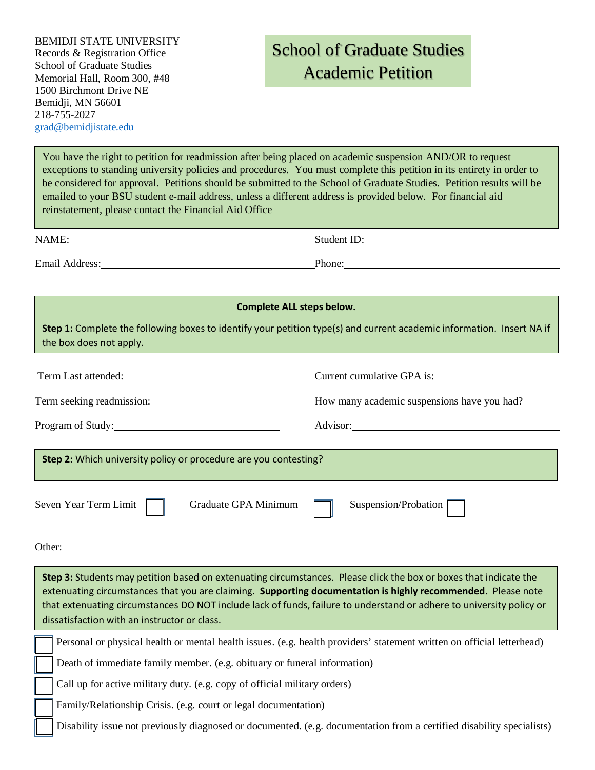## School of Graduate Studies Academic Petition

You have the right to petition for readmission after being placed on academic suspension AND/OR to request exceptions to standing university policies and procedures. You must complete this petition in its entirety in order to be considered for approval. Petitions should be submitted to the School of Graduate Studies. Petition results will be emailed to your BSU student e-mail address, unless a different address is provided below. For financial aid reinstatement, please contact the Financial Aid Office

| <b>NTA</b><br>$\sqrt{ }$<br>` |  |
|-------------------------------|--|
|                               |  |

Email Address: Phone:

| <b>Complete ALL steps below.</b>                                                                                                                 |                                             |  |  |  |
|--------------------------------------------------------------------------------------------------------------------------------------------------|---------------------------------------------|--|--|--|
| Step 1: Complete the following boxes to identify your petition type(s) and current academic information. Insert NA if<br>the box does not apply. |                                             |  |  |  |
| Term Last attended:                                                                                                                              | Current cumulative GPA is:                  |  |  |  |
| Term seeking readmission:                                                                                                                        | How many academic suspensions have you had? |  |  |  |
| Program of Study:                                                                                                                                |                                             |  |  |  |
| Step 2: Which university policy or procedure are you contesting?                                                                                 |                                             |  |  |  |
| Seven Year Term Limit<br>Graduate GPA Minimum                                                                                                    | Suspension/Probation                        |  |  |  |

Other:

| Step 3: Students may petition based on extenuating circumstances. Please click the box or boxes that indicate the<br>extenuating circumstances that you are claiming. Supporting documentation is highly recommended. Please note<br>that extenuating circumstances DO NOT include lack of funds, failure to understand or adhere to university policy or<br>dissatisfaction with an instructor or class. |                                                                                                                        |  |
|-----------------------------------------------------------------------------------------------------------------------------------------------------------------------------------------------------------------------------------------------------------------------------------------------------------------------------------------------------------------------------------------------------------|------------------------------------------------------------------------------------------------------------------------|--|
|                                                                                                                                                                                                                                                                                                                                                                                                           | Personal or physical health or mental health issues. (e.g. health providers' statement written on official letterhead) |  |
|                                                                                                                                                                                                                                                                                                                                                                                                           | Death of immediate family member. (e.g. obituary or funeral information)                                               |  |
|                                                                                                                                                                                                                                                                                                                                                                                                           | Call up for active military duty. (e.g. copy of official military orders)                                              |  |
|                                                                                                                                                                                                                                                                                                                                                                                                           | Family/Relationship Crisis. (e.g. court or legal documentation)                                                        |  |
|                                                                                                                                                                                                                                                                                                                                                                                                           | Disability issue not previously diagnosed or documented. (e.g. documentation from a certified disability specialists)  |  |